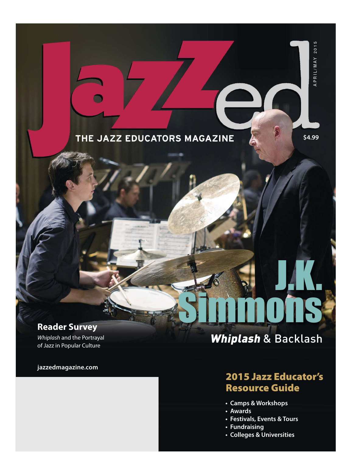## THE JAZZ EDUCATORS MAGAZINE

**\$4.99**<br>APRIL/MAY 2015 \$4.99

APRIL/MAY 2015

J.K.

## **Reader Survey**

*Whiplash* and the Portrayal of Jazz in Popular Culture

#### **jazzedmagazine.com**

# Whiplash & Backlash

Simmons

## 2015 Jazz Educator's Resource Guide

- **Camps & Workshops**
- **Awards**
- **Festivals, Events & Tours**
- **Fundraising**
- **Colleges & Universities**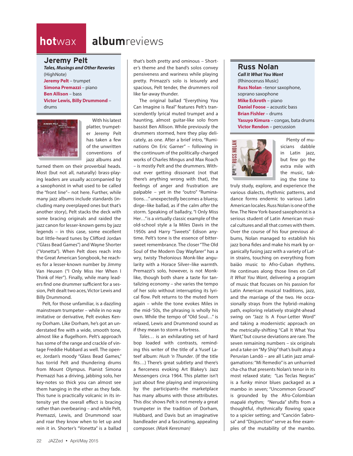## **hot**wax **album**reviews

#### **Jeremy Pelt**

*Tales, Musings and Other Reveries* (HighNote) **Jeremy Pelt** – trumpet **Simona Premazzi** – piano **Ben Allison** – bass **Victor Lewis, Billy Drummond** – drums



With his latest platter, trumpeter Jeremy Pelt has taken a few of the unwritten conventions of jazz albums and

turned them on their proverbial heads. Most (but not all, naturally) brass-playing leaders are usually accompanied by a saxophonist in what used to be called the "front line"– not here. Further, while many jazz albums include standards (including many overplayed ones but that's another story), Pelt stacks the deck with some bracing originals and raided the jazz canon for lesser-known gems by jazz legends – in this case, some excellent but little-heard tunes by Clifford Jordan ("Glass Bead Games") and Wayne Shorter ("Vonetta"). When Pelt does reach into the Great American Songbook, he reaches for a lesser-known number by Jimmy Van Heusen ("I Only Miss Her When I Think of Her"). Finally, while many leaders find one drummer sufficient for a session, Pelt dealt two aces, Victor Lewis and Billy Drummond.

Pelt, for those unfamiliar, is a dazzling mainstream trumpeter – while in no way imitative or derivative, Pelt evokes Kenny Dorham. Like Dorham, he's got an understated fire with a wide, smooth tone, almost like a flugelhorn. Pelt's approach has some of the range and crackle of vintage Freddie Hubbard as well. The opener, Jordan's moody "Glass Bead Games," has torrid Pelt and thundering drums from Mount Olympus. Pianist Simona Premazzi has a driving, jabbing solo, her key-notes so thick you can almost see them hanging in the ether as they fade. This tune is practically volcanic in its intensity yet the overall effect is bracing rather than overbearing – and while Pelt, Premazzi, Lewis, and Drummond soar and roar they know when to let up and rein it in. Shorter's "Vonetta" is a ballad

that's both pretty and ominous – Shorter's theme and the band's solos convey pensiveness and wariness while playing pretty. Primazzi's solo is leisurely and spacious, Pelt tender, the drummers roil like far-away thunder.

The original ballad "Everything You Can Imagine is Real" features Pelt's transcendently lyrical muted trumpet and a haunting, almost guitar-like solo from bassist Ben Allison. While previously the drummers stormed, here they play delicately, as one. After a brief intro, "Ruminations On Eric Garner" – following in the continuum of the politically-charged works of Charles Mingus and Max Roach – is mostly Pelt and the drummers. Without ever getting dissonant (not that there's anything wrong with that), the feelings of anger and frustration are palpable – yet in the "outro" "Ruminations…" unexpectedly becomes a bluesy, dirge–like ballad, as if the calm *after* the storm. Speaking of balladry, "I Only Miss Her…" is a virtually classic example of the old-school style a la Miles Davis in the 1950s and Harry "Sweets" Edison anytime. Pelt's tone is the essence of bittersweet remembrance. The closer "The Old Soul of the Modern Day Wayfarer" has a wry, twisty Thelonious Monk-like angularity with a Horace Silver–like warmth. Premazzi's solo, however, is not Monklike, though both share a taste for tantalizing economy – she varies the tempo of her solo without interrupting its lyrical flow. Pelt returns to the muted horn again – while the tone evokes Miles in the mid-'50s, the phrasing is wholly his own. While the tempo of "Old Soul…" is relaxed, Lewis and Drummond sound as if they mean to storm a fortress.

*Tales…* is an exhilarating set of hard bop loaded with contrasts, reminding this writer of the title of a Yusef Lateef album: *Hush 'n Thunder*. (If the title fits...) There's great subtlety and there's a fierceness evoking Art Blakey's Jazz Messengers circa 1964. This platter isn't just about fine playing and improvising by the participants–the marketplace has many albums with those attributes. This disc shows Pelt is not merely a great trumpeter in the tradition of Dorham, Hubbard, and Davis but an imaginative bandleader and a fascinating, appealing composer. *(Mark Keresman)*

### **Russ Nolan**

*Call It What You Want* (Rhinoceruss Music) **Russ Nolan** –tenor saxophone, soprano saxophone **Mike Eckroth** – piano **Daniel Foose** – acoustic bass **Brian Fishler** – drums **Yasuyo Kimura** – congas, bata drums **Victor Rendon** – percussion



Plenty of musicians dabble in Latin jazz, but few go the extra mile with the music, taking the time to

truly study, explore, and experience the various dialects, rhythmic patterns, and dance forms endemic to various Latin American locales. Russ Nolan is one of the few. The New York-based saxophonist is a serious student of Latin American musical cultures and all that comes with them. Over the course of his four previous albums, Nolan managed to establish his jazz bona fides and make his mark by organically fusing jazz with a variety of Latin strains, touching on everything from baião music to Afro-Cuban rhythms. He continues along those lines on *Call It What You Want*, delivering a program of music that focuses on his passion for Latin American musical traditions, jazz, and the marriage of the two. He occasionally strays from the hybrid–making path, exploring relatively straight-ahead swing on "Jazz Is A Four-Letter Word" and taking a modernistic approach on the metrically-shifting "Call It What You Want," but course deviations are rare. The seven remaining numbers – six originals and a take on "My Ship" that's built atop a Peruvian Landó – are all Latin jazz amalgamations: "Mi Remedio" is an unhurried cha-cha that presents Nolan's tenor in its most relaxed state; "Las Teclas Negras" is a funky minor blues packaged as a mambo in seven; "Uncommon Ground" is grounded by the Afro-Colombian mapalé rhythm; "Neruda" shifts from a thoughtful, rhythmically flowing space to a spicier setting; and "Canción Sabrosa" and "Disjunction" serve as fine examples of the mutability of the mambo.